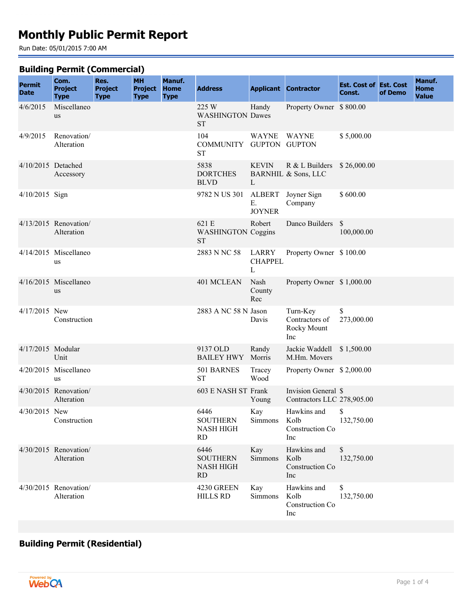# **Monthly Public Permit Report**

Run Date: 05/01/2015 7:00 AM

#### **Building Permit (Commercial)**

| <b>Permit</b><br><b>Date</b> | Com.<br><b>Project</b><br><b>Type</b> | Res.<br><b>Project</b><br><b>Type</b> | <b>MH</b><br><b>Project</b><br><b>Type</b> | Manuf.<br><b>Home</b><br><b>Type</b> | <b>Address</b>                                           |                              | <b>Applicant Contractor</b>                                  | <b>Est. Cost of Est. Cost</b><br>Const. | of Demo | Manuf.<br><b>Home</b><br><b>Value</b> |
|------------------------------|---------------------------------------|---------------------------------------|--------------------------------------------|--------------------------------------|----------------------------------------------------------|------------------------------|--------------------------------------------------------------|-----------------------------------------|---------|---------------------------------------|
| 4/6/2015                     | Miscellaneo<br><b>us</b>              |                                       |                                            |                                      | 225 W<br><b>WASHINGTON Dawes</b><br><b>ST</b>            | Handy                        | Property Owner \$800.00                                      |                                         |         |                                       |
| 4/9/2015                     | Renovation/<br>Alteration             |                                       |                                            |                                      | 104<br>COMMUNITY GUPTON GUPTON<br><b>ST</b>              | <b>WAYNE</b>                 | <b>WAYNE</b>                                                 | \$5,000.00                              |         |                                       |
| 4/10/2015 Detached           | Accessory                             |                                       |                                            |                                      | 5838<br><b>DORTCHES</b><br><b>BLVD</b>                   | <b>KEVIN</b><br>L            | R & L Builders \$26,000.00<br><b>BARNHIL &amp; Sons, LLC</b> |                                         |         |                                       |
| 4/10/2015 Sign               |                                       |                                       |                                            |                                      | 9782 N US 301                                            | Е.<br><b>JOYNER</b>          | ALBERT Joyner Sign<br>Company                                | \$600.00                                |         |                                       |
|                              | 4/13/2015 Renovation/<br>Alteration   |                                       |                                            |                                      | 621 E<br><b>WASHINGTON Coggins</b><br><b>ST</b>          | Robert                       | Danco Builders                                               | $\mathcal{S}$<br>100,000.00             |         |                                       |
|                              | 4/14/2015 Miscellaneo<br>us           |                                       |                                            |                                      | 2883 N NC 58                                             | LARRY<br><b>CHAPPEL</b><br>L | Property Owner \$100.00                                      |                                         |         |                                       |
|                              | 4/16/2015 Miscellaneo<br><b>us</b>    |                                       |                                            |                                      | 401 MCLEAN                                               | Nash<br>County<br>Rec        | Property Owner \$1,000.00                                    |                                         |         |                                       |
| 4/17/2015 New                | Construction                          |                                       |                                            |                                      | 2883 A NC 58 N Jason                                     | Davis                        | Turn-Key<br>Contractors of<br>Rocky Mount<br>Inc             | \$<br>273,000.00                        |         |                                       |
| 4/17/2015 Modular            | Unit                                  |                                       |                                            |                                      | 9137 OLD<br><b>BAILEY HWY</b>                            | Randy<br>Morris              | Jackie Waddell \$1,500.00<br>M.Hm. Movers                    |                                         |         |                                       |
|                              | 4/20/2015 Miscellaneo<br>us           |                                       |                                            |                                      | 501 BARNES<br><b>ST</b>                                  | Tracey<br>Wood               | Property Owner \$2,000.00                                    |                                         |         |                                       |
|                              | 4/30/2015 Renovation/<br>Alteration   |                                       |                                            |                                      | 603 E NASH ST Frank                                      | Young                        | Invision General \$<br>Contractors LLC 278,905.00            |                                         |         |                                       |
| 4/30/2015 New                | Construction                          |                                       |                                            |                                      | 6446<br><b>SOUTHERN</b><br><b>NASH HIGH</b><br><b>RD</b> | Kay<br>Simmons               | Hawkins and<br>Kolb<br>Construction Co.<br>Inc               | \$<br>132,750.00                        |         |                                       |
|                              | 4/30/2015 Renovation/<br>Alteration   |                                       |                                            |                                      | 6446<br><b>SOUTHERN</b><br><b>NASH HIGH</b><br>RD        | Kay<br>Simmons               | Hawkins and<br>Kolb<br>Construction Co<br>Inc                | \$<br>132,750.00                        |         |                                       |
|                              | 4/30/2015 Renovation/<br>Alteration   |                                       |                                            |                                      | 4230 GREEN<br><b>HILLS RD</b>                            | Kay<br>Simmons               | Hawkins and<br>Kolb<br>Construction Co<br>Inc                | \$<br>132,750.00                        |         |                                       |

# **Building Permit (Residential)**

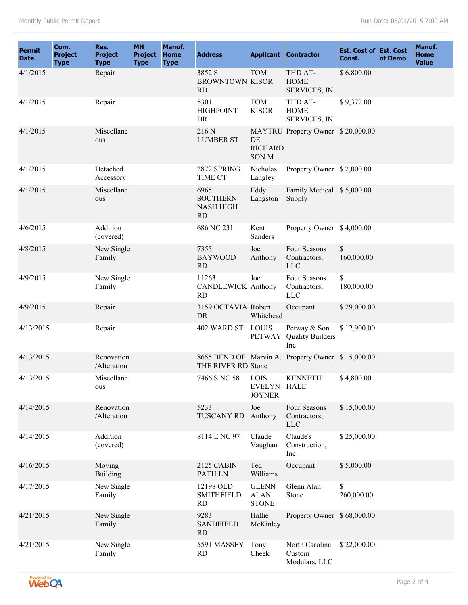| <b>Permit</b><br><b>Date</b> | Com.<br><b>Project</b><br><b>Type</b> | Res.<br><b>Project</b><br><b>Type</b> | <b>MH</b><br><b>Project</b><br><b>Type</b> | Manuf.<br><b>Home</b><br><b>Type</b> | <b>Address</b>                                    |                                             | <b>Applicant Contractor</b>                       | <b>Est. Cost of Est. Cost</b><br>Const. | of Demo | Manuf.<br>Home<br><b>Value</b> |
|------------------------------|---------------------------------------|---------------------------------------|--------------------------------------------|--------------------------------------|---------------------------------------------------|---------------------------------------------|---------------------------------------------------|-----------------------------------------|---------|--------------------------------|
| 4/1/2015                     |                                       | Repair                                |                                            |                                      | 3852 S<br><b>BROWNTOWN KISOR</b><br><b>RD</b>     | <b>TOM</b>                                  | THD AT-<br><b>HOME</b><br><b>SERVICES, IN</b>     | \$6,800.00                              |         |                                |
| 4/1/2015                     |                                       | Repair                                |                                            |                                      | 5301<br><b>HIGHPOINT</b><br>DR                    | <b>TOM</b><br><b>KISOR</b>                  | THD AT-<br><b>HOME</b><br><b>SERVICES, IN</b>     | \$9,372.00                              |         |                                |
| 4/1/2015                     |                                       | Miscellane<br>ous                     |                                            |                                      | 216 N<br><b>LUMBER ST</b>                         | DE<br><b>RICHARD</b><br><b>SONM</b>         | MAYTRU Property Owner \$20,000.00                 |                                         |         |                                |
| 4/1/2015                     |                                       | Detached<br>Accessory                 |                                            |                                      | 2872 SPRING<br>TIME CT                            | Nicholas<br>Langley                         | Property Owner \$2,000.00                         |                                         |         |                                |
| 4/1/2015                     |                                       | Miscellane<br>ous                     |                                            |                                      | 6965<br><b>SOUTHERN</b><br><b>NASH HIGH</b><br>RD | Eddy<br>Langston                            | Family Medical \$5,000.00<br>Supply               |                                         |         |                                |
| 4/6/2015                     |                                       | Addition<br>(covered)                 |                                            |                                      | 686 NC 231                                        | Kent<br>Sanders                             | Property Owner \$4,000.00                         |                                         |         |                                |
| 4/8/2015                     |                                       | New Single<br>Family                  |                                            |                                      | 7355<br><b>BAYWOOD</b><br>RD                      | Joe<br>Anthony                              | Four Seasons<br>Contractors,<br><b>LLC</b>        | \$<br>160,000.00                        |         |                                |
| 4/9/2015                     |                                       | New Single<br>Family                  |                                            |                                      | 11263<br><b>CANDLEWICK Anthony</b><br><b>RD</b>   | Joe                                         | Four Seasons<br>Contractors,<br><b>LLC</b>        | \$<br>180,000.00                        |         |                                |
| 4/9/2015                     |                                       | Repair                                |                                            |                                      | 3159 OCTAVIA Robert<br>DR                         | Whitehead                                   | Occupant                                          | \$29,000.00                             |         |                                |
| 4/13/2015                    |                                       | Repair                                |                                            |                                      | 402 WARD ST                                       | <b>LOUIS</b><br><b>PETWAY</b>               | Petway & Son<br><b>Quality Builders</b><br>Inc    | \$12,900.00                             |         |                                |
| 4/13/2015                    |                                       | Renovation<br>/Alteration             |                                            |                                      | THE RIVER RD Stone                                |                                             | 8655 BEND OF Marvin A. Property Owner \$15,000.00 |                                         |         |                                |
| 4/13/2015                    |                                       | Miscellane<br>ous                     |                                            |                                      | 7466 S NC 58                                      | <b>LOIS</b><br>EVELYN HALE<br><b>JOYNER</b> | <b>KENNETH</b>                                    | \$4,800.00                              |         |                                |
| 4/14/2015                    |                                       | Renovation<br>/Alteration             |                                            |                                      | 5233<br><b>TUSCANY RD</b>                         | Joe<br>Anthony                              | Four Seasons<br>Contractors,<br>LLC               | \$15,000.00                             |         |                                |
| 4/14/2015                    |                                       | Addition<br>(covered)                 |                                            |                                      | 8114 E NC 97                                      | Claude<br>Vaughan                           | Claude's<br>Construction,<br>Inc                  | \$25,000.00                             |         |                                |
| 4/16/2015                    |                                       | Moving<br>Building                    |                                            |                                      | 2125 CABIN<br>PATH LN                             | Ted<br>Williams                             | Occupant                                          | \$5,000.00                              |         |                                |
| 4/17/2015                    |                                       | New Single<br>Family                  |                                            |                                      | 12198 OLD<br><b>SMITHFIELD</b><br><b>RD</b>       | <b>GLENN</b><br><b>ALAN</b><br><b>STONE</b> | Glenn Alan<br>Stone                               | \$<br>260,000.00                        |         |                                |
| 4/21/2015                    |                                       | New Single<br>Family                  |                                            |                                      | 9283<br><b>SANDFIELD</b><br><b>RD</b>             | Hallie<br>McKinley                          | Property Owner \$68,000.00                        |                                         |         |                                |
| 4/21/2015                    |                                       | New Single<br>Family                  |                                            |                                      | 5591 MASSEY<br><b>RD</b>                          | Tony<br>Cheek                               | North Carolina<br>Custom<br>Modulars, LLC         | \$22,000.00                             |         |                                |

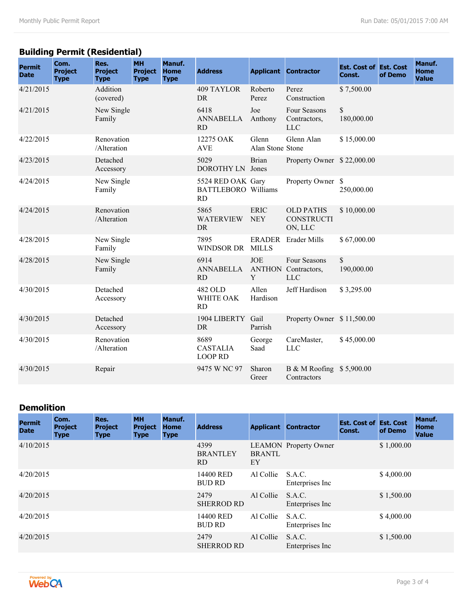# **Building Permit (Residential)**

| <b>Permit</b><br><b>Date</b> | Com.<br><b>Project</b><br><b>Type</b> | Res.<br><b>Project</b><br><b>Type</b> | <b>MH</b><br><b>Project</b><br><b>Type</b> | Manuf.<br><b>Home</b><br><b>Type</b> | <b>Address</b>                                               |                               | <b>Applicant Contractor</b>                              | <b>Est. Cost of Est. Cost</b><br>Const. | of Demo | Manuf.<br><b>Home</b><br><b>Value</b> |
|------------------------------|---------------------------------------|---------------------------------------|--------------------------------------------|--------------------------------------|--------------------------------------------------------------|-------------------------------|----------------------------------------------------------|-----------------------------------------|---------|---------------------------------------|
| 4/21/2015                    |                                       | Addition<br>(covered)                 |                                            |                                      | <b>409 TAYLOR</b><br>D <sub>R</sub>                          | Roberto<br>Perez              | Perez<br>Construction                                    | \$7,500.00                              |         |                                       |
| 4/21/2015                    |                                       | New Single<br>Family                  |                                            |                                      | 6418<br><b>ANNABELLA</b><br><b>RD</b>                        | Joe<br>Anthony                | Four Seasons<br>Contractors,<br><b>LLC</b>               | \$<br>180,000.00                        |         |                                       |
| 4/22/2015                    |                                       | Renovation<br>/Alteration             |                                            |                                      | 12275 OAK<br><b>AVE</b>                                      | Glenn<br>Alan Stone Stone     | Glenn Alan                                               | \$15,000.00                             |         |                                       |
| 4/23/2015                    |                                       | Detached<br>Accessory                 |                                            |                                      | 5029<br>DOROTHY LN Jones                                     | <b>Brian</b>                  | Property Owner \$22,000.00                               |                                         |         |                                       |
| 4/24/2015                    |                                       | New Single<br>Family                  |                                            |                                      | 5524 RED OAK Gary<br><b>BATTLEBORO</b> Williams<br><b>RD</b> |                               | Property Owner \$                                        | 250,000.00                              |         |                                       |
| 4/24/2015                    |                                       | Renovation<br>/Alteration             |                                            |                                      | 5865<br><b>WATERVIEW</b><br><b>DR</b>                        | <b>ERIC</b><br><b>NEY</b>     | <b>OLD PATHS</b><br><b>CONSTRUCTI</b><br>ON, LLC         | \$10,000.00                             |         |                                       |
| 4/28/2015                    |                                       | New Single<br>Family                  |                                            |                                      | 7895<br><b>WINDSOR DR</b>                                    | <b>ERADER</b><br><b>MILLS</b> | <b>Erader Mills</b>                                      | \$67,000.00                             |         |                                       |
| 4/28/2015                    |                                       | New Single<br>Family                  |                                            |                                      | 6914<br><b>ANNABELLA</b><br>RD                               | <b>JOE</b><br>Y               | Four Seasons<br><b>ANTHON</b> Contractors,<br><b>LLC</b> | \$<br>190,000.00                        |         |                                       |
| 4/30/2015                    |                                       | Detached<br>Accessory                 |                                            |                                      | 482 OLD<br>WHITE OAK<br><b>RD</b>                            | Allen<br>Hardison             | Jeff Hardison                                            | \$3,295.00                              |         |                                       |
| 4/30/2015                    |                                       | Detached<br>Accessory                 |                                            |                                      | 1904 LIBERTY<br><b>DR</b>                                    | Gail<br>Parrish               | Property Owner \$11,500.00                               |                                         |         |                                       |
| 4/30/2015                    |                                       | Renovation<br>/Alteration             |                                            |                                      | 8689<br><b>CASTALIA</b><br><b>LOOP RD</b>                    | George<br>Saad                | CareMaster,<br><b>LLC</b>                                | \$45,000.00                             |         |                                       |
| 4/30/2015                    |                                       | Repair                                |                                            |                                      | 9475 W NC 97                                                 | Sharon<br>Greer               | B & M Roofing \$5,900.00<br>Contractors                  |                                         |         |                                       |

### **Demolition**

| <b>Permit</b><br><b>Date</b> | Com.<br><b>Project</b><br><b>Type</b> | Res.<br><b>Project</b><br><b>Type</b> | <b>MH</b><br><b>Project</b><br><b>Type</b> | Manuf.<br><b>Home</b><br><b>Type</b> | <b>Address</b>                 | <b>Applicant</b>    | <b>Contractor</b>            | <b>Est. Cost of Est. Cost</b><br>Const. | of Demo    | <b>Manuf.</b><br><b>Home</b><br><b>Value</b> |
|------------------------------|---------------------------------------|---------------------------------------|--------------------------------------------|--------------------------------------|--------------------------------|---------------------|------------------------------|-----------------------------------------|------------|----------------------------------------------|
| 4/10/2015                    |                                       |                                       |                                            |                                      | 4399<br><b>BRANTLEY</b><br>RD. | <b>BRANTL</b><br>EY | <b>LEAMON</b> Property Owner |                                         | \$1,000.00 |                                              |
| 4/20/2015                    |                                       |                                       |                                            |                                      | 14400 RED<br><b>BUD RD</b>     | Al Collie           | S.A.C.<br>Enterprises Inc    |                                         | \$4,000.00 |                                              |
| 4/20/2015                    |                                       |                                       |                                            |                                      | 2479<br><b>SHERROD RD</b>      | Al Collie           | S.A.C.<br>Enterprises Inc    |                                         | \$1,500.00 |                                              |
| 4/20/2015                    |                                       |                                       |                                            |                                      | 14400 RED<br><b>BUD RD</b>     | Al Collie           | S.A.C.<br>Enterprises Inc.   |                                         | \$4,000.00 |                                              |
| 4/20/2015                    |                                       |                                       |                                            |                                      | 2479<br><b>SHERROD RD</b>      | Al Collie           | S.A.C.<br>Enterprises Inc.   |                                         | \$1,500.00 |                                              |